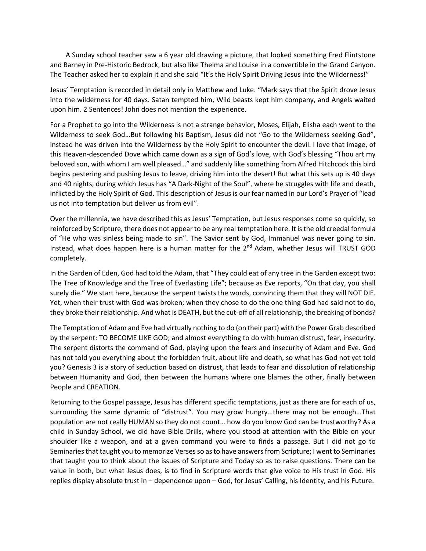A Sunday school teacher saw a 6 year old drawing a picture, that looked something Fred Flintstone and Barney in Pre-Historic Bedrock, but also like Thelma and Louise in a convertible in the Grand Canyon. The Teacher asked her to explain it and she said "It's the Holy Spirit Driving Jesus into the Wilderness!"

Jesus' Temptation is recorded in detail only in Matthew and Luke. "Mark says that the Spirit drove Jesus into the wilderness for 40 days. Satan tempted him, Wild beasts kept him company, and Angels waited upon him. 2 Sentences! John does not mention the experience.

For a Prophet to go into the Wilderness is not a strange behavior, Moses, Elijah, Elisha each went to the Wilderness to seek God…But following his Baptism, Jesus did not "Go to the Wilderness seeking God", instead he was driven into the Wilderness by the Holy Spirit to encounter the devil. I love that image, of this Heaven-descended Dove which came down as a sign of God's love, with God's blessing "Thou art my beloved son, with whom I am well pleased…" and suddenly like something from Alfred Hitchcock this bird begins pestering and pushing Jesus to leave, driving him into the desert! But what this sets up is 40 days and 40 nights, during which Jesus has "A Dark-Night of the Soul", where he struggles with life and death, inflicted by the Holy Spirit of God. This description of Jesus is our fear named in our Lord's Prayer of "lead us not into temptation but deliver us from evil".

Over the millennia, we have described this as Jesus' Temptation, but Jesus responses come so quickly, so reinforced by Scripture, there does not appear to be any real temptation here. It is the old creedal formula of "He who was sinless being made to sin". The Savior sent by God, Immanuel was never going to sin. Instead, what does happen here is a human matter for the  $2<sup>nd</sup>$  Adam, whether Jesus will TRUST GOD completely.

In the Garden of Eden, God had told the Adam, that "They could eat of any tree in the Garden except two: The Tree of Knowledge and the Tree of Everlasting Life"; because as Eve reports, "On that day, you shall surely die." We start here, because the serpent twists the words, convincing them that they will NOT DIE. Yet, when their trust with God was broken; when they chose to do the one thing God had said not to do, they broke their relationship. And what is DEATH, but the cut-off of all relationship, the breaking of bonds?

The Temptation of Adam and Eve had virtually nothing to do (on their part) with the Power Grab described by the serpent: TO BECOME LIKE GOD; and almost everything to do with human distrust, fear, insecurity. The serpent distorts the command of God, playing upon the fears and insecurity of Adam and Eve. God has not told you everything about the forbidden fruit, about life and death, so what has God not yet told you? Genesis 3 is a story of seduction based on distrust, that leads to fear and dissolution of relationship between Humanity and God, then between the humans where one blames the other, finally between People and CREATION.

Returning to the Gospel passage, Jesus has different specific temptations, just as there are for each of us, surrounding the same dynamic of "distrust". You may grow hungry…there may not be enough…That population are not really HUMAN so they do not count… how do you know God can be trustworthy? As a child in Sunday School, we did have Bible Drills, where you stood at attention with the Bible on your shoulder like a weapon, and at a given command you were to finds a passage. But I did not go to Seminaries that taught you to memorize Verses so as to have answers from Scripture; I went to Seminaries that taught you to think about the issues of Scripture and Today so as to raise questions. There can be value in both, but what Jesus does, is to find in Scripture words that give voice to His trust in God. His replies display absolute trust in – dependence upon – God, for Jesus' Calling, his Identity, and his Future.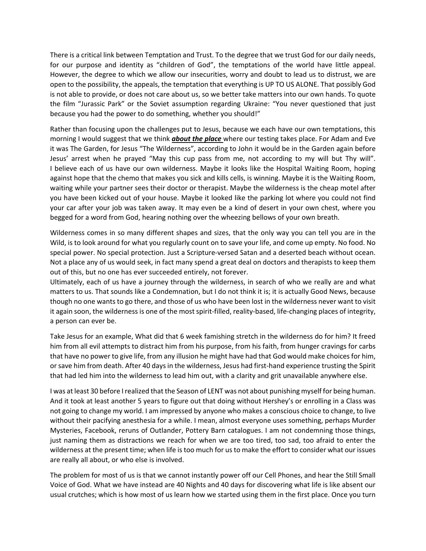There is a critical link between Temptation and Trust. To the degree that we trust God for our daily needs, for our purpose and identity as "children of God", the temptations of the world have little appeal. However, the degree to which we allow our insecurities, worry and doubt to lead us to distrust, we are open to the possibility, the appeals, the temptation that everything is UP TO US ALONE. That possibly God is not able to provide, or does not care about us, so we better take matters into our own hands. To quote the film "Jurassic Park" or the Soviet assumption regarding Ukraine: "You never questioned that just because you had the power to do something, whether you should!"

Rather than focusing upon the challenges put to Jesus, because we each have our own temptations, this morning I would suggest that we think *about the place* where our testing takes place. For Adam and Eve it was The Garden, for Jesus "The Wilderness", according to John it would be in the Garden again before Jesus' arrest when he prayed "May this cup pass from me, not according to my will but Thy will". I believe each of us have our own wilderness. Maybe it looks like the Hospital Waiting Room, hoping against hope that the chemo that makes you sick and kills cells, is winning. Maybe it is the Waiting Room, waiting while your partner sees their doctor or therapist. Maybe the wilderness is the cheap motel after you have been kicked out of your house. Maybe it looked like the parking lot where you could not find your car after your job was taken away. It may even be a kind of desert in your own chest, where you begged for a word from God, hearing nothing over the wheezing bellows of your own breath.

Wilderness comes in so many different shapes and sizes, that the only way you can tell you are in the Wild, is to look around for what you regularly count on to save your life, and come up empty. No food. No special power. No special protection. Just a Scripture-versed Satan and a deserted beach without ocean. Not a place any of us would seek, in fact many spend a great deal on doctors and therapists to keep them out of this, but no one has ever succeeded entirely, not forever.

Ultimately, each of us have a journey through the wilderness, in search of who we really are and what matters to us. That sounds like a Condemnation, but I do not think it is; it is actually Good News, because though no one wants to go there, and those of us who have been lost in the wilderness never want to visit it again soon, the wilderness is one of the most spirit-filled, reality-based, life-changing places of integrity, a person can ever be.

Take Jesus for an example, What did that 6 week famishing stretch in the wilderness do for him? It freed him from all evil attempts to distract him from his purpose, from his faith, from hunger cravings for carbs that have no power to give life, from any illusion he might have had that God would make choices for him, or save him from death. After 40 days in the wilderness, Jesus had first-hand experience trusting the Spirit that had led him into the wilderness to lead him out, with a clarity and grit unavailable anywhere else.

I was at least 30 before I realized that the Season of LENT was not about punishing myself for being human. And it took at least another 5 years to figure out that doing without Hershey's or enrolling in a Class was not going to change my world. I am impressed by anyone who makes a conscious choice to change, to live without their pacifying anesthesia for a while. I mean, almost everyone uses something, perhaps Murder Mysteries, Facebook, reruns of Outlander, Pottery Barn catalogues. I am not condemning those things, just naming them as distractions we reach for when we are too tired, too sad, too afraid to enter the wilderness at the present time; when life is too much for us to make the effort to consider what our issues are really all about, or who else is involved.

The problem for most of us is that we cannot instantly power off our Cell Phones, and hear the Still Small Voice of God. What we have instead are 40 Nights and 40 days for discovering what life is like absent our usual crutches; which is how most of us learn how we started using them in the first place. Once you turn